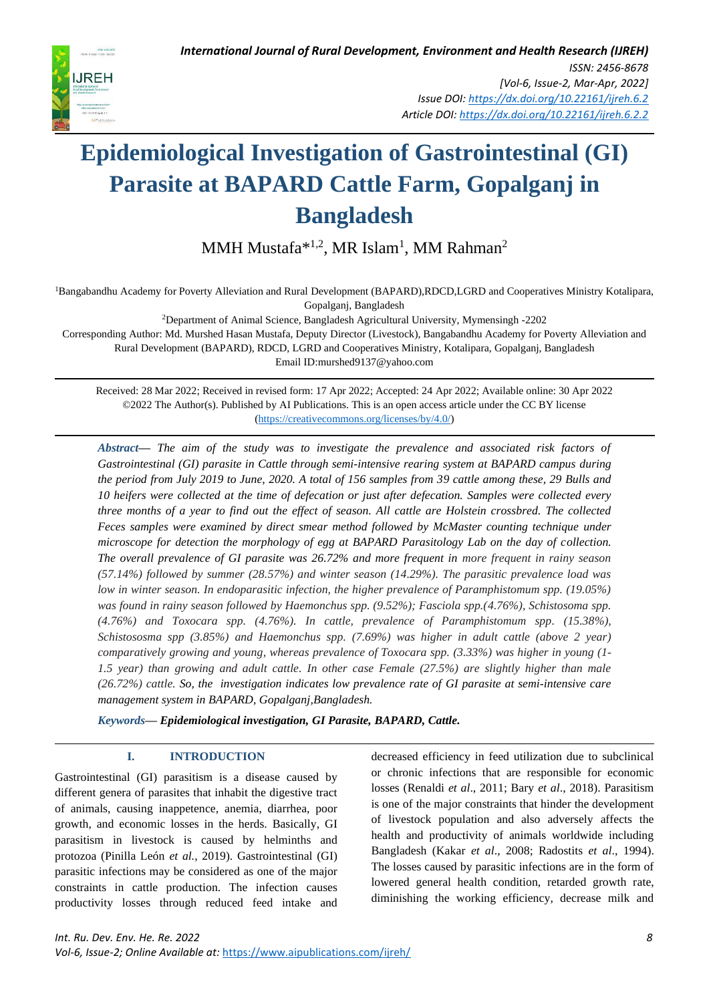MMH Mustafa<sup>\*1,2</sup>, MR Islam<sup>1</sup>, MM Rahman<sup>2</sup>

<sup>1</sup>Bangabandhu Academy for Poverty Alleviation and Rural Development (BAPARD),RDCD,LGRD and Cooperatives Ministry Kotalipara, Gopalganj, Bangladesh

<sup>2</sup>Department of Animal Science, Bangladesh Agricultural University, Mymensingh -2202

Corresponding Author: Md. Murshed Hasan Mustafa, Deputy Director (Livestock), Bangabandhu Academy for Poverty Alleviation and Rural Development (BAPARD), RDCD, LGRD and Cooperatives Ministry, Kotalipara, Gopalganj, Bangladesh Email ID:murshed9137@yahoo.com

Received: 28 Mar 2022; Received in revised form: 17 Apr 2022; Accepted: 24 Apr 2022; Available online: 30 Apr 2022 ©2022 The Author(s). Published by AI Publications. This is an open access article under the CC BY license [\(https://creativecommons.org/licenses/by/4.0/\)](https://creativecommons.org/licenses/by/4.0/)

*Abstract— The aim of the study was to investigate the prevalence and associated risk factors of Gastrointestinal (GI) parasite in Cattle through semi-intensive rearing system at BAPARD campus during the period from July 2019 to June, 2020. A total of 156 samples from 39 cattle among these, 29 Bulls and 10 heifers were collected at the time of defecation or just after defecation. Samples were collected every three months of a year to find out the effect of season. All cattle are Holstein crossbred. The collected Feces samples were examined by direct smear method followed by McMaster counting technique under microscope for detection the morphology of egg at BAPARD Parasitology Lab on the day of collection. The overall prevalence of GI parasite was 26.72% and more frequent in more frequent in rainy season (57.14%) followed by summer (28.57%) and winter season (14.29%). The parasitic prevalence load was low in winter season. In endoparasitic infection, the higher prevalence of Paramphistomum spp. (19.05%)* was found in rainy season followed by Haemonchus spp. (9.52%); Fasciola spp. (4.76%), Schistosoma spp. *(4.76%) and Toxocara spp. (4.76%). In cattle, prevalence of Paramphistomum spp. (15.38%), Schistososma spp (3.85%) and Haemonchus spp. (7.69%) was higher in adult cattle (above 2 year) comparatively growing and young, whereas prevalence of Toxocara spp. (3.33%) was higher in young (1- 1.5 year) than growing and adult cattle. In other case Female (27.5%) are slightly higher than male (26.72%) cattle. So, the investigation indicates low prevalence rate of GI parasite at semi-intensive care management system in BAPARD, Gopalganj,Bangladesh.*

*Keywords— Epidemiological investigation, GI Parasite, BAPARD, Cattle.*

# **I. INTRODUCTION**

Gastrointestinal (GI) parasitism is a disease caused by different genera of parasites that inhabit the digestive tract of animals, causing inappetence, anemia, diarrhea, poor growth, and economic losses in the herds. Basically, GI parasitism in livestock is caused by helminths and protozoa (Pinilla León *et al.,* 2019). Gastrointestinal (GI) parasitic infections may be considered as one of the major constraints in cattle production. The infection causes productivity losses through reduced feed intake and decreased efficiency in feed utilization due to subclinical or chronic infections that are responsible for economic losses (Renaldi *et al*., 2011; Bary *et al*., 2018). Parasitism is one of the major constraints that hinder the development of livestock population and also adversely affects the health and productivity of animals worldwide including Bangladesh (Kakar *et al*., 2008; Radostits *et al*., 1994). The losses caused by parasitic infections are in the form of lowered general health condition, retarded growth rate, diminishing the working efficiency, decrease milk and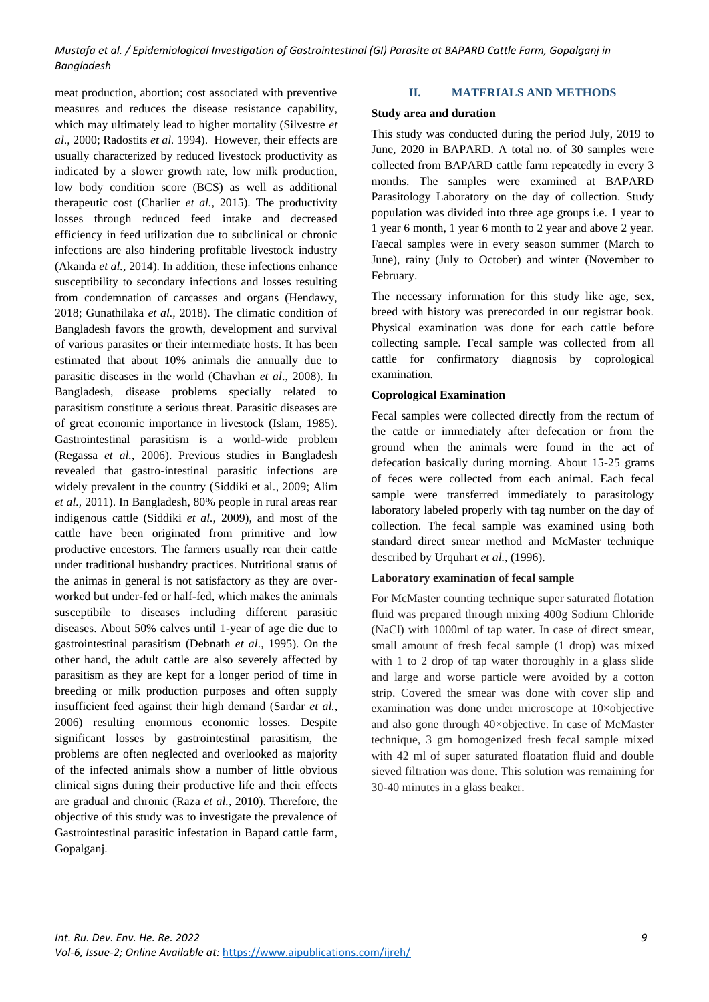meat production, abortion; cost associated with preventive measures and reduces the disease resistance capability, which may ultimately lead to higher mortality (Silvestre *et al*., 2000; Radostits *et al.* 1994). However, their effects are usually characterized by reduced livestock productivity as indicated by a slower growth rate, low milk production, low body condition score (BCS) as well as additional therapeutic cost (Charlier *et al.,* 2015). The productivity losses through reduced feed intake and decreased efficiency in feed utilization due to subclinical or chronic infections are also hindering profitable livestock industry (Akanda *et al.,* 2014). In addition, these infections enhance susceptibility to secondary infections and losses resulting from condemnation of carcasses and organs (Hendawy, 2018; Gunathilaka *et al.,* 2018). The climatic condition of Bangladesh favors the growth, development and survival of various parasites or their intermediate hosts. It has been estimated that about 10% animals die annually due to parasitic diseases in the world (Chavhan *et al*., 2008). In Bangladesh, disease problems specially related to parasitism constitute a serious threat. Parasitic diseases are of great economic importance in livestock (Islam, 1985). Gastrointestinal parasitism is a world-wide problem (Regassa *et al.*, 2006). Previous studies in Bangladesh revealed that gastro-intestinal parasitic infections are widely prevalent in the country (Siddiki et al., 2009; Alim *et al.,* 2011). In Bangladesh, 80% people in rural areas rear indigenous cattle (Siddiki *et al.,* 2009), and most of the cattle have been originated from primitive and low productive encestors. The farmers usually rear their cattle under traditional husbandry practices. Nutritional status of the animas in general is not satisfactory as they are overworked but under-fed or half-fed, which makes the animals susceptibile to diseases including different parasitic diseases. About 50% calves until 1-year of age die due to gastrointestinal parasitism (Debnath *et al*., 1995). On the other hand, the adult cattle are also severely affected by parasitism as they are kept for a longer period of time in breeding or milk production purposes and often supply insufficient feed against their high demand (Sardar *et al.,*  2006) resulting enormous economic losses. Despite significant losses by gastrointestinal parasitism, the problems are often neglected and overlooked as majority of the infected animals show a number of little obvious clinical signs during their productive life and their effects are gradual and chronic (Raza *et al.,* 2010). Therefore, the objective of this study was to investigate the prevalence of Gastrointestinal parasitic infestation in Bapard cattle farm, Gopalganj.

#### **II. MATERIALS AND METHODS**

#### **Study area and duration**

This study was conducted during the period July, 2019 to June, 2020 in BAPARD. A total no. of 30 samples were collected from BAPARD cattle farm repeatedly in every 3 months. The samples were examined at BAPARD Parasitology Laboratory on the day of collection. Study population was divided into three age groups i.e. 1 year to 1 year 6 month, 1 year 6 month to 2 year and above 2 year. Faecal samples were in every season summer (March to June), rainy (July to October) and winter (November to February.

The necessary information for this study like age, sex, breed with history was prerecorded in our registrar book. Physical examination was done for each cattle before collecting sample. Fecal sample was collected from all cattle for confirmatory diagnosis by coprological examination.

#### **Coprological Examination**

Fecal samples were collected directly from the rectum of the cattle or immediately after defecation or from the ground when the animals were found in the act of defecation basically during morning. About 15-25 grams of feces were collected from each animal. Each fecal sample were transferred immediately to parasitology laboratory labeled properly with tag number on the day of collection. The fecal sample was examined using both standard direct smear method and McMaster technique described by Urquhart *et al.,* (1996).

### **Laboratory examination of fecal sample**

For McMaster counting technique super saturated flotation fluid was prepared through mixing 400g Sodium Chloride (NaCl) with 1000ml of tap water. In case of direct smear, small amount of fresh fecal sample (1 drop) was mixed with 1 to 2 drop of tap water thoroughly in a glass slide and large and worse particle were avoided by a cotton strip. Covered the smear was done with cover slip and examination was done under microscope at 10×objective and also gone through 40×objective. In case of McMaster technique, 3 gm homogenized fresh fecal sample mixed with 42 ml of super saturated floatation fluid and double sieved filtration was done. This solution was remaining for 30-40 minutes in a glass beaker.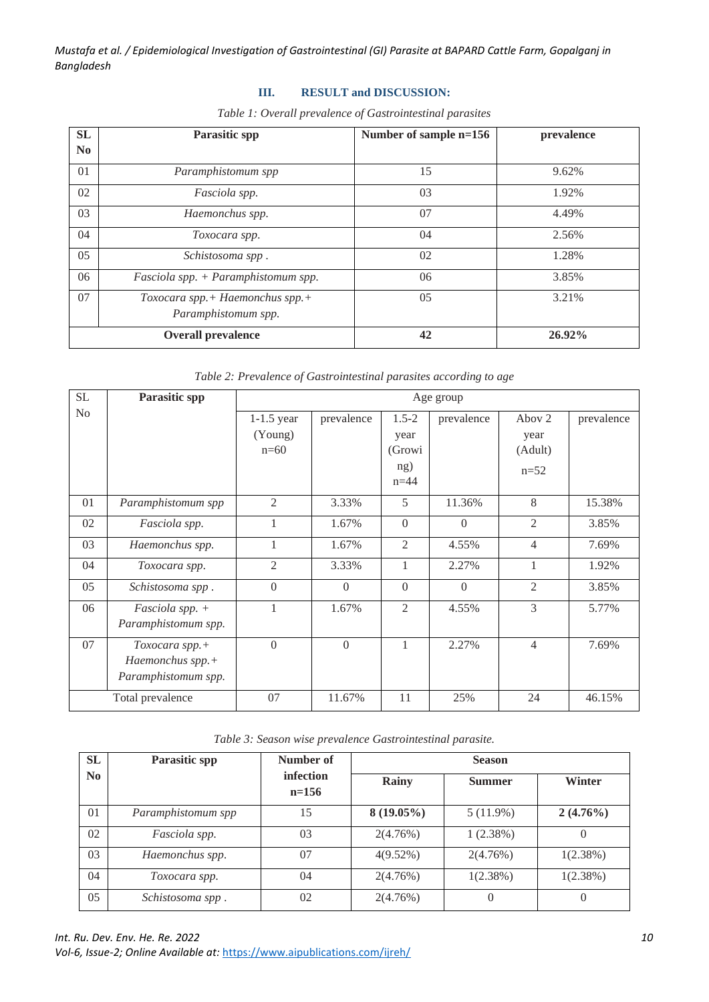# **III. RESULT and DISCUSSION:**

| <b>SL</b>      | <b>Parasitic spp</b>                                   | Number of sample n=156 | prevalence |
|----------------|--------------------------------------------------------|------------------------|------------|
| N <sub>0</sub> |                                                        |                        |            |
| 01             | Paramphistomum spp                                     | 15                     | 9.62%      |
| 02             | Fasciola spp.                                          | 03                     | 1.92%      |
| 03             | Haemonchus spp.                                        | 07                     | 4.49%      |
| 04             | Toxocara spp.                                          | 04                     | 2.56%      |
| 05             | Schistosoma spp.                                       | 02                     | 1.28%      |
| 06             | Fasciola spp. + Paramphistomum spp.                    | 06                     | 3.85%      |
| 07             | Toxocara spp.+ Haemonchus spp.+<br>Paramphistomum spp. | 05                     | 3.21%      |
|                | <b>Overall prevalence</b>                              | 42                     | 26.92%     |

*Table 2: Prevalence of Gastrointestinal parasites according to age*

| <b>SL</b>      | Parasitic spp                                             | Age group                         |                |                                              |            |                                     |            |
|----------------|-----------------------------------------------------------|-----------------------------------|----------------|----------------------------------------------|------------|-------------------------------------|------------|
| N <sub>0</sub> |                                                           | $1-1.5$ year<br>(Young)<br>$n=60$ | prevalence     | $1.5 - 2$<br>year<br>(Growi<br>ng)<br>$n=44$ | prevalence | Abov 2<br>year<br>(Adult)<br>$n=52$ | prevalence |
| 01             | Paramphistomum spp                                        | $\overline{2}$                    | 3.33%          | 5                                            | 11.36%     | 8                                   | 15.38%     |
| 02             | Fasciola spp.                                             |                                   | 1.67%          | $\theta$                                     | $\Omega$   | 2                                   | 3.85%      |
| 03             | Haemonchus spp.                                           | 1                                 | 1.67%          | 2                                            | 4.55%      | $\overline{4}$                      | 7.69%      |
| 04             | Toxocara spp.                                             | $\overline{2}$                    | 3.33%          | 1                                            | 2.27%      |                                     | 1.92%      |
| 05             | Schistosoma spp.                                          | $\Omega$                          | $\Omega$       | $\Omega$                                     | $\Omega$   | $\overline{2}$                      | 3.85%      |
| 06             | Fasciola spp. $+$<br>Paramphistomum spp.                  |                                   | 1.67%          | $\overline{2}$                               | 4.55%      | $\mathcal{F}$                       | 5.77%      |
| 07             | Toxocara spp.+<br>Haemonchus spp.+<br>Paramphistomum spp. | $\Omega$                          | $\overline{0}$ | 1                                            | 2.27%      | $\overline{4}$                      | 7.69%      |
|                | Total prevalence                                          | 07                                | 11.67%         | 11                                           | 25%        | 24                                  | 46.15%     |

*Table 3: Season wise prevalence Gastrointestinal parasite.*

| <b>SL</b> | <b>Parasitic spp</b> | Number of            | <b>Season</b> |               |             |  |
|-----------|----------------------|----------------------|---------------|---------------|-------------|--|
| No.       |                      | infection<br>$n=156$ | Rainy         | <b>Summer</b> | Winter      |  |
| 01        | Paramphistomum spp   | 15                   | $8(19.05\%)$  | $5(11.9\%)$   | $2(4.76\%)$ |  |
| 02        | Fasciola spp.        | 03                   | 2(4.76%)      | 1(2.38%)      |             |  |
| 03        | Haemonchus spp.      | 07                   | $4(9.52\%)$   | 2(4.76%)      | $1(2.38\%)$ |  |
| 04        | Toxocara spp.        | 04                   | 2(4.76%)      | 1(2.38%)      | 1(2.38%)    |  |
| 05        | Schistosoma spp.     | 02                   | 2(4.76%)      |               |             |  |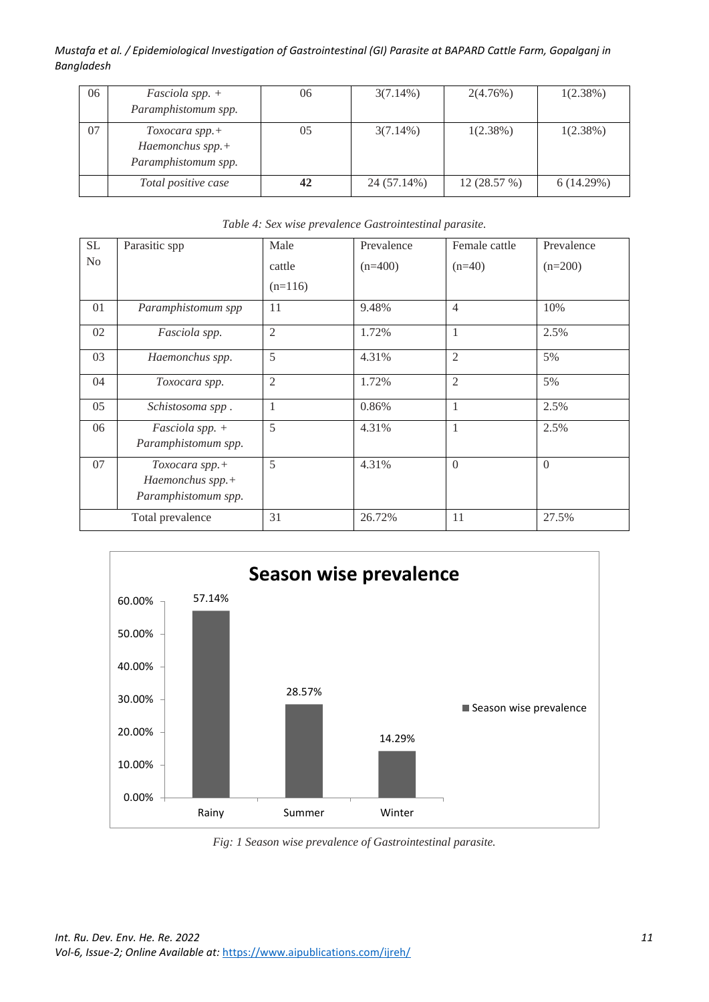| 06 | <i>Fasciola spp.</i> $+$<br>Paramphistomum spp.                | 06 | $3(7.14\%)$ | 2(4.76%)   | 1(2.38%)  |
|----|----------------------------------------------------------------|----|-------------|------------|-----------|
| 07 | $Toxocara$ spp. $+$<br>Haemonchus spp.+<br>Paramphistomum spp. | 05 | $3(7.14\%)$ | 1(2.38%)   | 1(2.38%)  |
|    | Total positive case                                            | 42 | 24 (57.14%) | 12(28.57%) | 6(14.29%) |

| SL             | Parasitic spp                                             | Male           | Prevalence | Female cattle  | Prevalence |
|----------------|-----------------------------------------------------------|----------------|------------|----------------|------------|
| N <sub>o</sub> |                                                           | cattle         | $(n=400)$  | $(n=40)$       | $(n=200)$  |
|                |                                                           | $(n=116)$      |            |                |            |
| 01             | Paramphistomum spp                                        | 11             | 9.48%      | $\overline{4}$ | 10%        |
| 02             | Fasciola spp.                                             | 2              | 1.72%      | 1              | 2.5%       |
| 03             | Haemonchus spp.                                           | 5              | 4.31%      | $\mathfrak{2}$ | 5%         |
| 04             | Toxocara spp.                                             | $\mathfrak{2}$ | 1.72%      | $\mathfrak{2}$ | 5%         |
| 05             | Schistosoma spp.                                          | 1              | 0.86%      | 1              | 2.5%       |
| 06             | Fasciola spp. +<br>Paramphistomum spp.                    | 5              | 4.31%      |                | 2.5%       |
| 07             | Toxocara spp.+<br>Haemonchus spp.+<br>Paramphistomum spp. | 5              | 4.31%      | $\Omega$       | $\Omega$   |
|                | Total prevalence                                          | 31             | 26.72%     | 11             | 27.5%      |

# *Table 4: Sex wise prevalence Gastrointestinal parasite.*



*Fig: 1 Season wise prevalence of Gastrointestinal parasite.*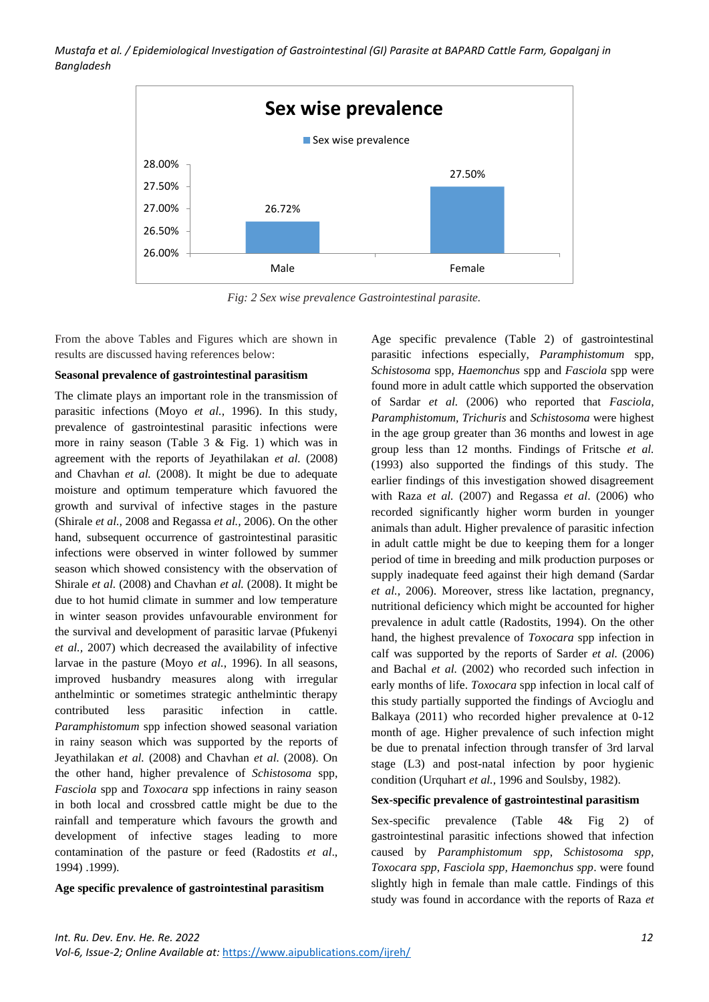

*Fig: 2 Sex wise prevalence Gastrointestinal parasite.*

From the above Tables and Figures which are shown in results are discussed having references below:

#### **Seasonal prevalence of gastrointestinal parasitism**

The climate plays an important role in the transmission of parasitic infections (Moyo *et al.*, 1996). In this study, prevalence of gastrointestinal parasitic infections were more in rainy season (Table 3 & Fig. 1) which was in agreement with the reports of Jeyathilakan *et al.* (2008) and Chavhan *et al.* (2008). It might be due to adequate moisture and optimum temperature which favuored the growth and survival of infective stages in the pasture (Shirale *et al.,* 2008 and Regassa *et al.,* 2006). On the other hand, subsequent occurrence of gastrointestinal parasitic infections were observed in winter followed by summer season which showed consistency with the observation of Shirale *et al.* (2008) and Chavhan *et al.* (2008). It might be due to hot humid climate in summer and low temperature in winter season provides unfavourable environment for the survival and development of parasitic larvae (Pfukenyi *et al.,* 2007) which decreased the availability of infective larvae in the pasture (Moyo *et al.*, 1996). In all seasons, improved husbandry measures along with irregular anthelmintic or sometimes strategic anthelmintic therapy contributed less parasitic infection in cattle. *Paramphistomum* spp infection showed seasonal variation in rainy season which was supported by the reports of Jeyathilakan *et al.* (2008) and Chavhan *et al.* (2008). On the other hand, higher prevalence of *Schistosoma* spp, *Fasciola* spp and *Toxocara* spp infections in rainy season in both local and crossbred cattle might be due to the rainfall and temperature which favours the growth and development of infective stages leading to more contamination of the pasture or feed (Radostits *et al*., 1994) .1999).

#### **Age specific prevalence of gastrointestinal parasitism**

Age specific prevalence (Table 2) of gastrointestinal parasitic infections especially, *Paramphistomum* spp*, Schistosoma* spp*, Haemonchus* spp and *Fasciola* spp were found more in adult cattle which supported the observation of Sardar *et al.* (2006) who reported that *Fasciola, Paramphistomum, Trichuris* and *Schistosoma* were highest in the age group greater than 36 months and lowest in age group less than 12 months. Findings of Fritsche *et al.*  (1993) also supported the findings of this study. The earlier findings of this investigation showed disagreement with Raza *et al.* (2007) and Regassa *et al*. (2006) who recorded significantly higher worm burden in younger animals than adult. Higher prevalence of parasitic infection in adult cattle might be due to keeping them for a longer period of time in breeding and milk production purposes or supply inadequate feed against their high demand (Sardar *et al.,* 2006). Moreover, stress like lactation, pregnancy, nutritional deficiency which might be accounted for higher prevalence in adult cattle (Radostits, 1994). On the other hand, the highest prevalence of *Toxocara* spp infection in calf was supported by the reports of Sarder *et al.* (2006) and Bachal *et al.* (2002) who recorded such infection in early months of life. *Toxocara* spp infection in local calf of this study partially supported the findings of Avcioglu and Balkaya (2011) who recorded higher prevalence at 0-12 month of age. Higher prevalence of such infection might be due to prenatal infection through transfer of 3rd larval stage (L3) and post-natal infection by poor hygienic condition (Urquhart *et al.,* 1996 and Soulsby, 1982).

#### **Sex-specific prevalence of gastrointestinal parasitism**

Sex-specific prevalence (Table 4& Fig 2) of gastrointestinal parasitic infections showed that infection caused by *Paramphistomum spp*, *Schistosoma spp, Toxocara spp*, *Fasciola spp, Haemonchus spp*. were found slightly high in female than male cattle. Findings of this study was found in accordance with the reports of Raza *et*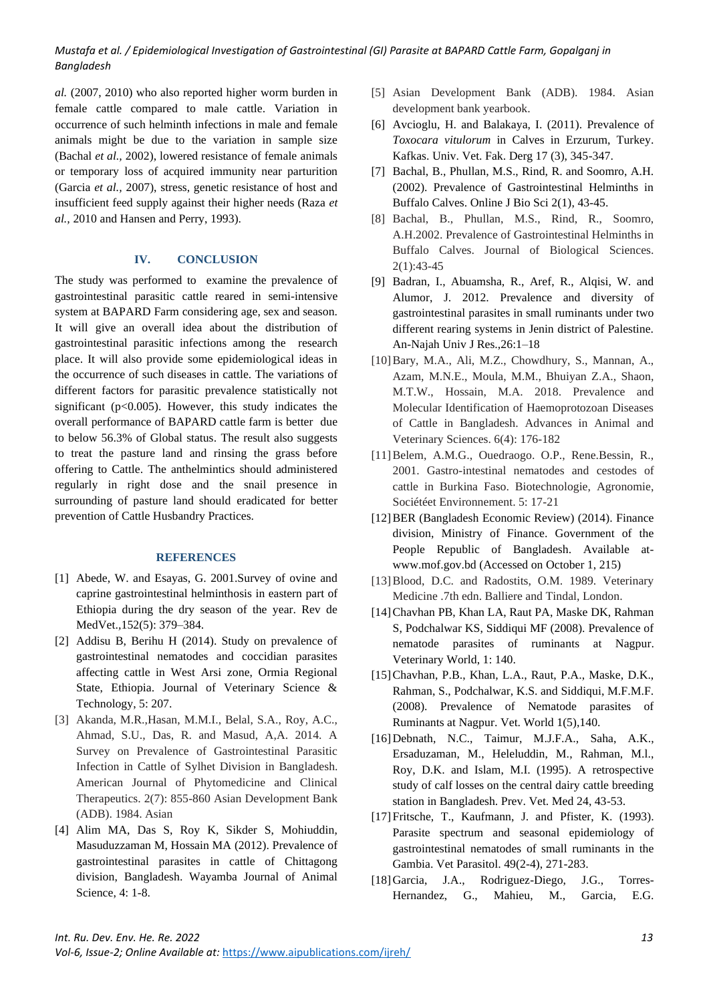*al.* (2007, 2010) who also reported higher worm burden in female cattle compared to male cattle. Variation in occurrence of such helminth infections in male and female animals might be due to the variation in sample size (Bachal *et al.,* 2002), lowered resistance of female animals or temporary loss of acquired immunity near parturition (Garcia *et al.,* 2007), stress, genetic resistance of host and insufficient feed supply against their higher needs (Raza *et al.,* 2010 and Hansen and Perry, 1993).

## **IV. CONCLUSION**

The study was performed to examine the prevalence of gastrointestinal parasitic cattle reared in semi-intensive system at BAPARD Farm considering age, sex and season. It will give an overall idea about the distribution of gastrointestinal parasitic infections among the research place. It will also provide some epidemiological ideas in the occurrence of such diseases in cattle. The variations of different factors for parasitic prevalence statistically not significant ( $p<0.005$ ). However, this study indicates the overall performance of BAPARD cattle farm is better due to below 56.3% of Global status. The result also suggests to treat the pasture land and rinsing the grass before offering to Cattle. The anthelmintics should administered regularly in right dose and the snail presence in surrounding of pasture land should eradicated for better prevention of Cattle Husbandry Practices.

#### **REFERENCES**

- [1] Abede, W. and Esayas, G. 2001.Survey of ovine and caprine gastrointestinal helminthosis in eastern part of Ethiopia during the dry season of the year. Rev de MedVet.*,*152(5): 379–384.
- [2] Addisu B, Berihu H (2014). Study on prevalence of gastrointestinal nematodes and coccidian parasites affecting cattle in West Arsi zone, Ormia Regional State, Ethiopia. Journal of Veterinary Science & Technology, 5: 207.
- [3] Akanda, M.R.,Hasan, M.M.I., Belal, S.A., Roy, A.C., Ahmad, S.U., Das, R. and Masud, A,A. 2014. A Survey on Prevalence of Gastrointestinal Parasitic Infection in Cattle of Sylhet Division in Bangladesh. American Journal of Phytomedicine and Clinical Therapeutics. 2(7): 855-860 Asian Development Bank (ADB). 1984. Asian
- [4] Alim MA, Das S, Roy K, Sikder S, Mohiuddin, Masuduzzaman M, Hossain MA (2012). Prevalence of gastrointestinal parasites in cattle of Chittagong division, Bangladesh. Wayamba Journal of Animal Science, 4: 1-8.
- [5] Asian Development Bank (ADB). 1984. Asian development bank yearbook.
- [6] Avcioglu, H. and Balakaya, I. (2011). Prevalence of *Toxocara vitulorum* in Calves in Erzurum, Turkey. Kafkas. Univ. Vet. Fak. Derg 17 (3), 345-347.
- [7] Bachal, B., Phullan, M.S., Rind, R. and Soomro, A.H. (2002). Prevalence of Gastrointestinal Helminths in Buffalo Calves. Online J Bio Sci 2(1), 43-45.
- [8] Bachal, B., Phullan, M.S., Rind, R., Soomro, A.H.2002. Prevalence of Gastrointestinal Helminths in Buffalo Calves. Journal of Biological Sciences. 2(1):43-45
- [9] Badran, I., Abuamsha, R., Aref, R., Alqisi, W. and Alumor, J. 2012. Prevalence and diversity of gastrointestinal parasites in small ruminants under two different rearing systems in Jenin district of Palestine. An-Najah Univ J Res.,26:1–18
- [10]Bary, M.A., Ali, M.Z., Chowdhury, S., Mannan, A., Azam, M.N.E., Moula, M.M., Bhuiyan Z.A., Shaon, M.T.W., Hossain, M.A. 2018. Prevalence and Molecular Identification of Haemoprotozoan Diseases of Cattle in Bangladesh. Advances in Animal and Veterinary Sciences. 6(4): 176-182
- [11]Belem, A.M.G., Ouedraogo. O.P., Rene.Bessin, R., 2001. Gastro-intestinal nematodes and cestodes of cattle in Burkina Faso. Biotechnologie, Agronomie, Sociétéet Environnement. 5: 17-21
- [12]BER (Bangladesh Economic Review) (2014). Finance division, Ministry of Finance. Government of the People Republic of Bangladesh. Available atwww.mof.gov.bd (Accessed on October 1, 215)
- [13] Blood, D.C. and Radostits, O.M. 1989. Veterinary Medicine .7th edn. Balliere and Tindal, London.
- [14]Chavhan PB, Khan LA, Raut PA, Maske DK, Rahman S, Podchalwar KS, Siddiqui MF (2008). Prevalence of nematode parasites of ruminants at Nagpur. Veterinary World, 1: 140.
- [15]Chavhan, P.B., Khan, L.A., Raut, P.A., Maske, D.K., Rahman, S., Podchalwar, K.S. and Siddiqui, M.F.M.F. (2008). Prevalence of Nematode parasites of Ruminants at Nagpur. Vet. World 1(5),140.
- [16]Debnath, N.C., Taimur, M.J.F.A., Saha, A.K., Ersaduzaman, M., Heleluddin, M., Rahman, M.l., Roy, D.K. and Islam, M.I. (1995). A retrospective study of calf losses on the central dairy cattle breeding station in Bangladesh. Prev. Vet. Med 24, 43-53.
- [17] Fritsche, T., Kaufmann, J. and Pfister, K. (1993). Parasite spectrum and seasonal epidemiology of gastrointestinal nematodes of small ruminants in the Gambia. Vet Parasitol. 49(2-4), 271-283.
- [18]Garcia, J.A., Rodriguez-Diego, J.G., Torres-Hernandez, G., Mahieu, M., Garcia, E.G.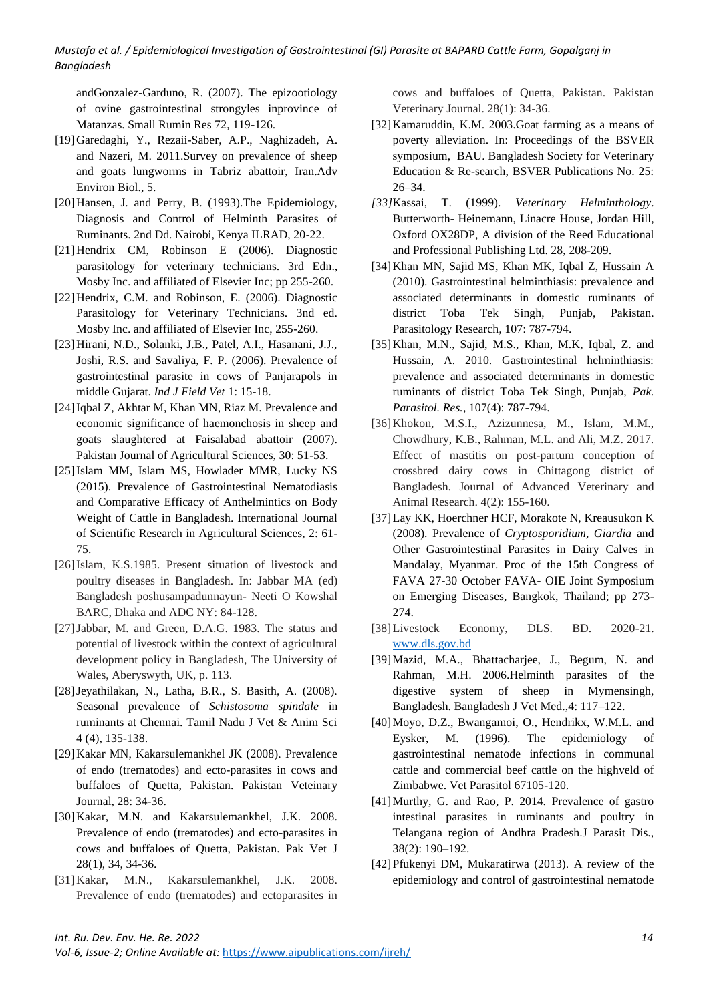andGonzalez-Garduno, R. (2007). The epizootiology of ovine gastrointestinal strongyles inprovince of Matanzas. Small Rumin Res 72, 119-126.

- [19]Garedaghi, Y., Rezaii-Saber, A.P., Naghizadeh, A. and Nazeri, M. 2011.Survey on prevalence of sheep and goats lungworms in Tabriz abattoir, Iran.Adv Environ Biol., 5.
- [20] Hansen, J. and Perry, B. (1993). The Epidemiology, Diagnosis and Control of Helminth Parasites of Ruminants. 2nd Dd. Nairobi, Kenya ILRAD, 20-22.
- [21]Hendrix CM, Robinson E (2006). Diagnostic parasitology for veterinary technicians. 3rd Edn., Mosby Inc. and affiliated of Elsevier Inc; pp 255-260.
- [22]Hendrix, C.M. and Robinson, E. (2006). Diagnostic Parasitology for Veterinary Technicians. 3nd ed. Mosby Inc. and affiliated of Elsevier Inc, 255-260.
- [23]Hirani, N.D., Solanki, J.B., Patel, A.I., Hasanani, J.J., Joshi, R.S. and Savaliya, F. P. (2006). Prevalence of gastrointestinal parasite in cows of Panjarapols in middle Gujarat. *Ind J Field Vet* 1: 15-18.
- [24]Iqbal Z, Akhtar M, Khan MN, Riaz M. Prevalence and economic significance of haemonchosis in sheep and goats slaughtered at Faisalabad abattoir (2007). Pakistan Journal of Agricultural Sciences, 30: 51-53.
- [25]Islam MM, Islam MS, Howlader MMR, Lucky NS (2015). Prevalence of Gastrointestinal Nematodiasis and Comparative Efficacy of Anthelmintics on Body Weight of Cattle in Bangladesh. International Journal of Scientific Research in Agricultural Sciences, 2: 61- 75.
- [26]Islam, K.S.1985. Present situation of livestock and poultry diseases in Bangladesh. In: Jabbar MA (ed) Bangladesh poshusampadunnayun- Neeti O Kowshal BARC, Dhaka and ADC NY: 84-128.
- [27]Jabbar, M. and Green, D.A.G. 1983. The status and potential of livestock within the context of agricultural development policy in Bangladesh, The University of Wales, Aberyswyth, UK, p. 113.
- [28]Jeyathilakan, N., Latha, B.R., S. Basith, A. (2008). Seasonal prevalence of *Schistosoma spindale* in ruminants at Chennai. Tamil Nadu J Vet & Anim Sci 4 (4), 135-138.
- [29]Kakar MN, Kakarsulemankhel JK (2008). Prevalence of endo (trematodes) and ecto-parasites in cows and buffaloes of Quetta, Pakistan. Pakistan Veteinary Journal, 28: 34-36.
- [30]Kakar, M.N. and Kakarsulemankhel, J.K. 2008. Prevalence of endo (trematodes) and ecto-parasites in cows and buffaloes of Quetta, Pakistan. Pak Vet J 28(1), 34, 34-36.
- [31]Kakar, M.N., Kakarsulemankhel, J.K. 2008. Prevalence of endo (trematodes) and ectoparasites in

cows and buffaloes of Quetta, Pakistan. Pakistan Veterinary Journal. 28(1): 34-36.

- [32] Kamaruddin, K.M. 2003. Goat farming as a means of poverty alleviation. In: Proceedings of the BSVER symposium, BAU. Bangladesh Society for Veterinary Education & Re-search, BSVER Publications No. 25: 26–34.
- *[33]*Kassai, T. (1999). *Veterinary Helminthology*. Butterworth- Heinemann, Linacre House, Jordan Hill, Oxford OX28DP, A division of the Reed Educational and Professional Publishing Ltd. 28, 208-209.
- [34]Khan MN, Sajid MS, Khan MK, Iqbal Z, Hussain A (2010). Gastrointestinal helminthiasis: prevalence and associated determinants in domestic ruminants of district Toba Tek Singh, Punjab, Pakistan. Parasitology Research*,* 107: 787-794.
- [35]Khan, M.N., Sajid, M.S., Khan, M.K, Iqbal, Z. and Hussain, A. 2010. Gastrointestinal helminthiasis: prevalence and associated determinants in domestic ruminants of district Toba Tek Singh, Punjab, *Pak. Parasitol. Res.*, 107(4): 787-794.
- [36]Khokon, M.S.I., Azizunnesa, M., Islam, M.M., Chowdhury, K.B., Rahman, M.L. and Ali, M.Z. 2017. Effect of mastitis on post-partum conception of crossbred dairy cows in Chittagong district of Bangladesh. Journal of Advanced Veterinary and Animal Research. 4(2): 155-160.
- [37]Lay KK, Hoerchner HCF, Morakote N, Kreausukon K (2008). Prevalence of *Cryptosporidium, Giardia* and Other Gastrointestinal Parasites in Dairy Calves in Mandalay, Myanmar. Proc of the 15th Congress of FAVA 27-30 October FAVA- OIE Joint Symposium on Emerging Diseases, Bangkok, Thailand; pp 273-  $274.$
- [38]Livestock Economy, DLS. BD. 2020-21. [www.dls.gov.bd](http://www.dls.gov.bd/)
- [39]Mazid, M.A., Bhattacharjee, J., Begum, N. and Rahman, M.H. 2006.Helminth parasites of the digestive system of sheep in Mymensingh, Bangladesh. Bangladesh J Vet Med.,4: 117–122.
- [40]Moyo, D.Z., Bwangamoi, O., Hendrikx, W.M.L. and Eysker, M. (1996). The epidemiology of gastrointestinal nematode infections in communal cattle and commercial beef cattle on the highveld of Zimbabwe. Vet Parasitol 67105-120.
- [41]Murthy, G. and Rao, P. 2014. Prevalence of gastro intestinal parasites in ruminants and poultry in Telangana region of Andhra Pradesh.J Parasit Dis., 38(2): 190–192.
- [42]Pfukenyi DM, Mukaratirwa (2013). A review of the epidemiology and control of gastrointestinal nematode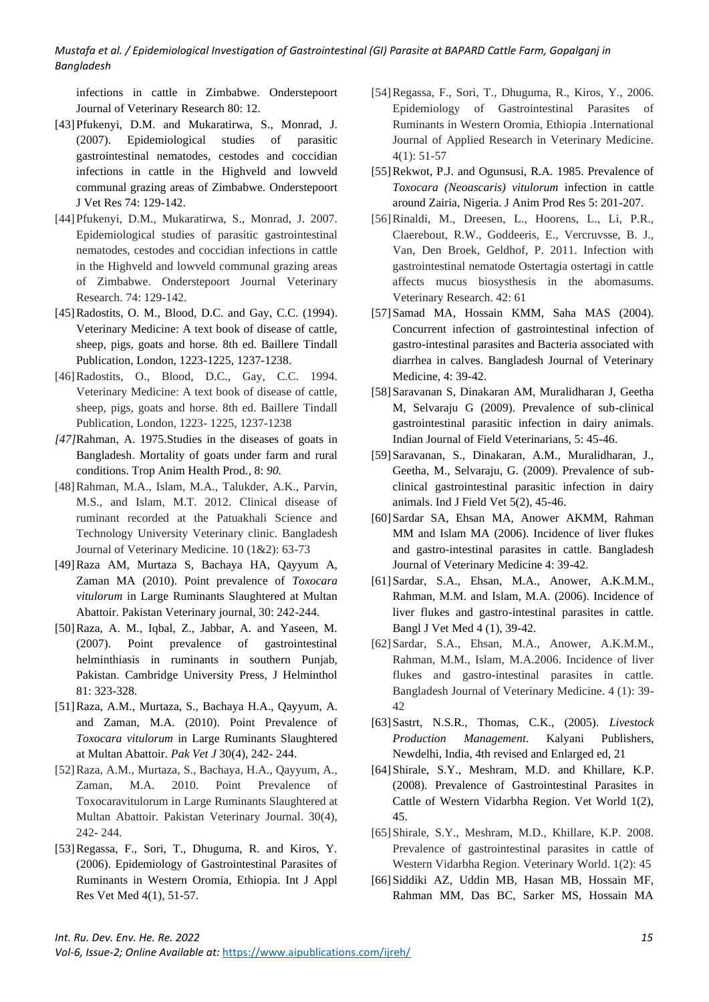infections in cattle in Zimbabwe. Onderstepoort Journal of Veterinary Research 80: 12.

- [43]Pfukenyi, D.M. and Mukaratirwa, S., Monrad, J. (2007). Epidemiological studies of parasitic gastrointestinal nematodes, cestodes and coccidian infections in cattle in the Highveld and lowveld communal grazing areas of Zimbabwe. Onderstepoort J Vet Res 74: 129-142.
- [44]Pfukenyi, D.M., Mukaratirwa, S., Monrad, J. 2007. Epidemiological studies of parasitic gastrointestinal nematodes, cestodes and coccidian infections in cattle in the Highveld and lowveld communal grazing areas of Zimbabwe. Onderstepoort Journal Veterinary Research. 74: 129-142.
- [45] Radostits, O. M., Blood, D.C. and Gay, C.C. (1994). Veterinary Medicine: A text book of disease of cattle, sheep, pigs, goats and horse*.* 8th ed. Baillere Tindall Publication, London, 1223-1225, 1237-1238.
- [46]Radostits, O., Blood, D.C., Gay, C.C. 1994. Veterinary Medicine: A text book of disease of cattle, sheep, pigs, goats and horse. 8th ed. Baillere Tindall Publication, London, 1223- 1225, 1237-1238
- *[47]*Rahman, A. 1975.Studies in the diseases of goats in Bangladesh. Mortality of goats under farm and rural conditions. Trop Anim Health Prod.*,* 8: *90.*
- [48]Rahman, M.A., Islam, M.A., Talukder, A.K., Parvin, M.S., and Islam, M.T. 2012. Clinical disease of ruminant recorded at the Patuakhali Science and Technology University Veterinary clinic. Bangladesh Journal of Veterinary Medicine. 10 (1&2): 63-73
- [49]Raza AM, Murtaza S, Bachaya HA, Qayyum A, Zaman MA (2010). Point prevalence of *Toxocara vitulorum* in Large Ruminants Slaughtered at Multan Abattoir. Pakistan Veterinary journal, 30: 242-244.
- [50]Raza, A. M., Iqbal, Z., Jabbar, A. and Yaseen, M. (2007). Point prevalence of gastrointestinal helminthiasis in ruminants in southern Punjab, Pakistan. Cambridge University Press, J Helminthol 81: 323-328.
- [51]Raza, A.M., Murtaza, S., Bachaya H.A., Qayyum, A. and Zaman, M.A. (2010). Point Prevalence of *Toxocara vitulorum* in Large Ruminants Slaughtered at Multan Abattoir. *Pak Vet J* 30(4), 242- 244.
- [52]Raza, A.M., Murtaza, S., Bachaya, H.A., Qayyum, A., Zaman, M.A. 2010. Point Prevalence of Toxocaravitulorum in Large Ruminants Slaughtered at Multan Abattoir. Pakistan Veterinary Journal. 30(4), 242- 244.
- [53]Regassa, F., Sori, T., Dhuguma, R. and Kiros, Y. (2006). Epidemiology of Gastrointestinal Parasites of Ruminants in Western Oromia, Ethiopia. Int J Appl Res Vet Med 4(1), 51-57.
- [54]Regassa, F., Sori, T., Dhuguma, R., Kiros, Y., 2006. Epidemiology of Gastrointestinal Parasites of Ruminants in Western Oromia, Ethiopia .International Journal of Applied Research in Veterinary Medicine. 4(1): 51-57
- [55]Rekwot, P.J. and Ogunsusi, R.A. 1985. Prevalence of *Toxocara (Neoascaris) vitulorum* infection in cattle around Zairia, Nigeria. J Anim Prod Res 5: 201-207.
- [56]Rinaldi, M., Dreesen, L., Hoorens, L., Li, P.R., Claerebout, R.W., Goddeeris, E., Vercruvsse, B. J., Van, Den Broek, Geldhof, P. 2011. Infection with gastrointestinal nematode Ostertagia ostertagi in cattle affects mucus biosysthesis in the abomasums. Veterinary Research. 42: 61
- [57]Samad MA, Hossain KMM, Saha MAS (2004). Concurrent infection of gastrointestinal infection of gastro-intestinal parasites and Bacteria associated with diarrhea in calves. Bangladesh Journal of Veterinary Medicine, 4: 39-42.
- [58]Saravanan S, Dinakaran AM, Muralidharan J, Geetha M, Selvaraju G (2009). Prevalence of sub-clinical gastrointestinal parasitic infection in dairy animals. Indian Journal of Field Veterinarians, 5: 45-46.
- [59]Saravanan, S., Dinakaran, A.M., Muralidharan, J., Geetha, M., Selvaraju, G. (2009). Prevalence of subclinical gastrointestinal parasitic infection in dairy animals. Ind J Field Vet 5(2), 45-46.
- [60]Sardar SA, Ehsan MA, Anower AKMM, Rahman MM and Islam MA (2006). Incidence of liver flukes and gastro-intestinal parasites in cattle. Bangladesh Journal of Veterinary Medicine 4: 39-42.
- [61]Sardar, S.A., Ehsan, M.A., Anower, A.K.M.M., Rahman, M.M. and Islam, M.A. (2006). Incidence of liver flukes and gastro-intestinal parasites in cattle. Bangl J Vet Med 4 (1), 39-42.
- [62]Sardar, S.A., Ehsan, M.A., Anower, A.K.M.M., Rahman, M.M., Islam, M.A.2006. Incidence of liver flukes and gastro-intestinal parasites in cattle. Bangladesh Journal of Veterinary Medicine. 4 (1): 39- 42
- [63]Sastrt, N.S.R., Thomas, C.K., (2005). *Livestock Production Management*. Kalyani Publishers, Newdelhi, India, 4th revised and Enlarged ed, 21
- [64]Shirale, S.Y., Meshram, M.D. and Khillare, K.P. (2008). Prevalence of Gastrointestinal Parasites in Cattle of Western Vidarbha Region. Vet World 1(2), 45.
- [65]Shirale, S.Y., Meshram, M.D., Khillare, K.P. 2008. Prevalence of gastrointestinal parasites in cattle of Western Vidarbha Region. Veterinary World. 1(2): 45
- [66]Siddiki AZ, Uddin MB, Hasan MB, Hossain MF, Rahman MM, Das BC, Sarker MS, Hossain MA

*Int. Ru. Dev. Env. He. Re. 2022* 155 *M Alternative managers in the state of the state of the state of the state of the state of the state of the state of the state of the state of the state of the state of the state of Vol-6, Issue-2; Online Available at:* <https://www.aipublications.com/ijreh/>